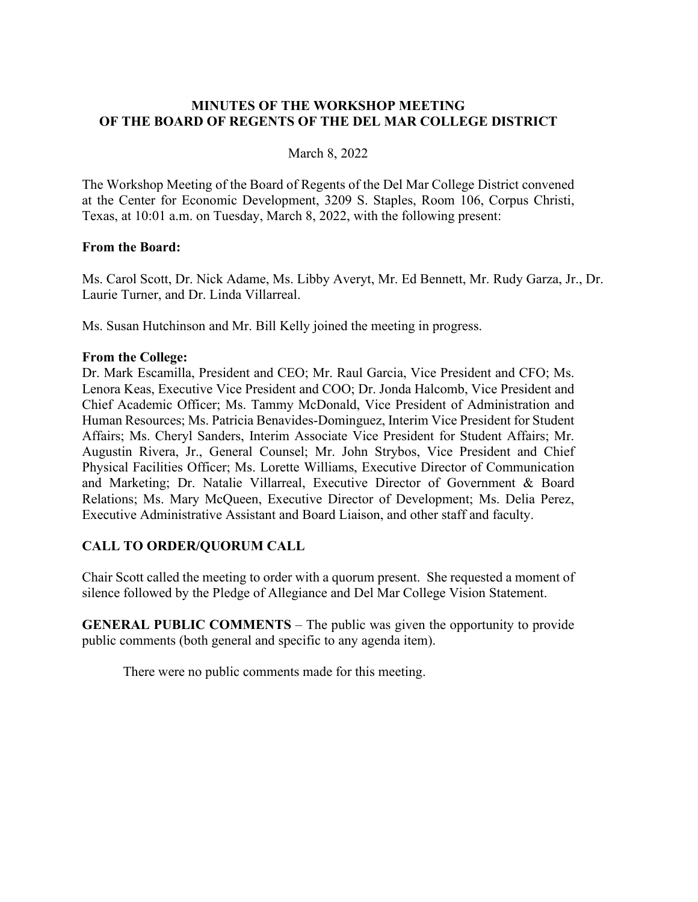### **MINUTES OF THE WORKSHOP MEETING OF THE BOARD OF REGENTS OF THE DEL MAR COLLEGE DISTRICT**

#### March 8, 2022

The Workshop Meeting of the Board of Regents of the Del Mar College District convened at the Center for Economic Development, 3209 S. Staples, Room 106, Corpus Christi, Texas, at 10:01 a.m. on Tuesday, March 8, 2022, with the following present:

#### **From the Board:**

Ms. Carol Scott, Dr. Nick Adame, Ms. Libby Averyt, Mr. Ed Bennett, Mr. Rudy Garza, Jr., Dr. Laurie Turner, and Dr. Linda Villarreal.

Ms. Susan Hutchinson and Mr. Bill Kelly joined the meeting in progress.

### **From the College:**

Dr. Mark Escamilla, President and CEO; Mr. Raul Garcia, Vice President and CFO; Ms. Lenora Keas, Executive Vice President and COO; Dr. Jonda Halcomb, Vice President and Chief Academic Officer; Ms. Tammy McDonald, Vice President of Administration and Human Resources; Ms. Patricia Benavides-Dominguez, Interim Vice President for Student Affairs; Ms. Cheryl Sanders, Interim Associate Vice President for Student Affairs; Mr. Augustin Rivera, Jr., General Counsel; Mr. John Strybos, Vice President and Chief Physical Facilities Officer; Ms. Lorette Williams, Executive Director of Communication and Marketing; Dr. Natalie Villarreal, Executive Director of Government & Board Relations; Ms. Mary McQueen, Executive Director of Development; Ms. Delia Perez, Executive Administrative Assistant and Board Liaison, and other staff and faculty.

# **CALL TO ORDER/QUORUM CALL**

Chair Scott called the meeting to order with a quorum present. She requested a moment of silence followed by the Pledge of Allegiance and Del Mar College Vision Statement.

**GENERAL PUBLIC COMMENTS** – The public was given the opportunity to provide public comments (both general and specific to any agenda item).

There were no public comments made for this meeting.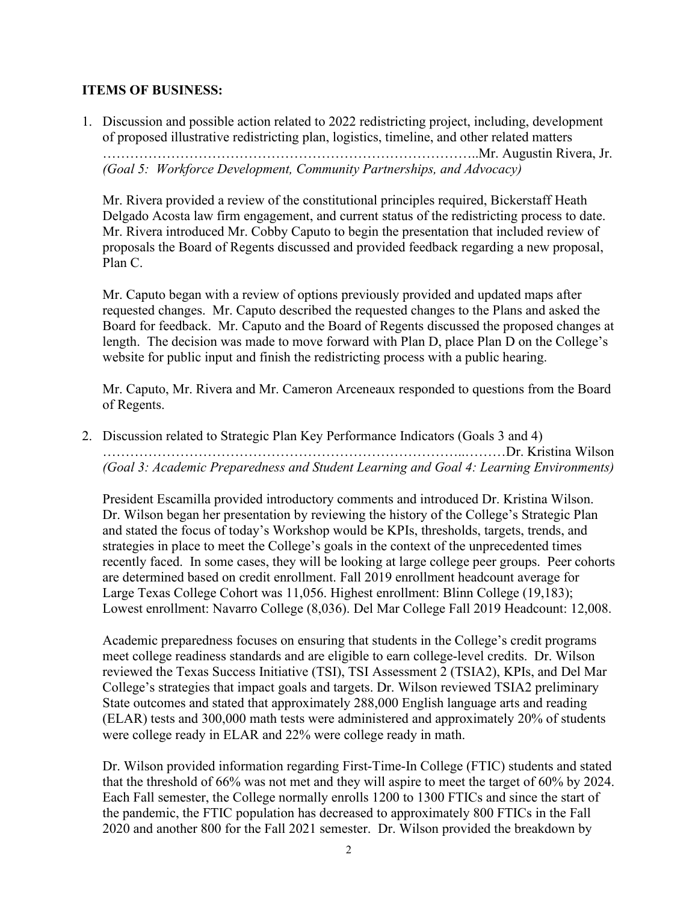# **ITEMS OF BUSINESS:**

1. Discussion and possible action related to 2022 redistricting project, including, development of proposed illustrative redistricting plan, logistics, timeline, and other related matters ………………………………………………………………………..Mr. Augustin Rivera, Jr. *(Goal 5: Workforce Development, Community Partnerships, and Advocacy)*

Mr. Rivera provided a review of the constitutional principles required, Bickerstaff Heath Delgado Acosta law firm engagement, and current status of the redistricting process to date. Mr. Rivera introduced Mr. Cobby Caputo to begin the presentation that included review of proposals the Board of Regents discussed and provided feedback regarding a new proposal, Plan C.

Mr. Caputo began with a review of options previously provided and updated maps after requested changes. Mr. Caputo described the requested changes to the Plans and asked the Board for feedback. Mr. Caputo and the Board of Regents discussed the proposed changes at length. The decision was made to move forward with Plan D, place Plan D on the College's website for public input and finish the redistricting process with a public hearing.

Mr. Caputo, Mr. Rivera and Mr. Cameron Arceneaux responded to questions from the Board of Regents.

2. Discussion related to Strategic Plan Key Performance Indicators (Goals 3 and 4) ……………………………………………………………………..………Dr. Kristina Wilson *(Goal 3: Academic Preparedness and Student Learning and Goal 4: Learning Environments)*

President Escamilla provided introductory comments and introduced Dr. Kristina Wilson. Dr. Wilson began her presentation by reviewing the history of the College's Strategic Plan and stated the focus of today's Workshop would be KPIs, thresholds, targets, trends, and strategies in place to meet the College's goals in the context of the unprecedented times recently faced. In some cases, they will be looking at large college peer groups. Peer cohorts are determined based on credit enrollment. Fall 2019 enrollment headcount average for Large Texas College Cohort was 11,056. Highest enrollment: Blinn College (19,183); Lowest enrollment: Navarro College (8,036). Del Mar College Fall 2019 Headcount: 12,008.

Academic preparedness focuses on ensuring that students in the College's credit programs meet college readiness standards and are eligible to earn college-level credits. Dr. Wilson reviewed the Texas Success Initiative (TSI), TSI Assessment 2 (TSIA2), KPIs, and Del Mar College's strategies that impact goals and targets. Dr. Wilson reviewed TSIA2 preliminary State outcomes and stated that approximately 288,000 English language arts and reading (ELAR) tests and 300,000 math tests were administered and approximately 20% of students were college ready in ELAR and 22% were college ready in math.

Dr. Wilson provided information regarding First-Time-In College (FTIC) students and stated that the threshold of 66% was not met and they will aspire to meet the target of 60% by 2024. Each Fall semester, the College normally enrolls 1200 to 1300 FTICs and since the start of the pandemic, the FTIC population has decreased to approximately 800 FTICs in the Fall 2020 and another 800 for the Fall 2021 semester. Dr. Wilson provided the breakdown by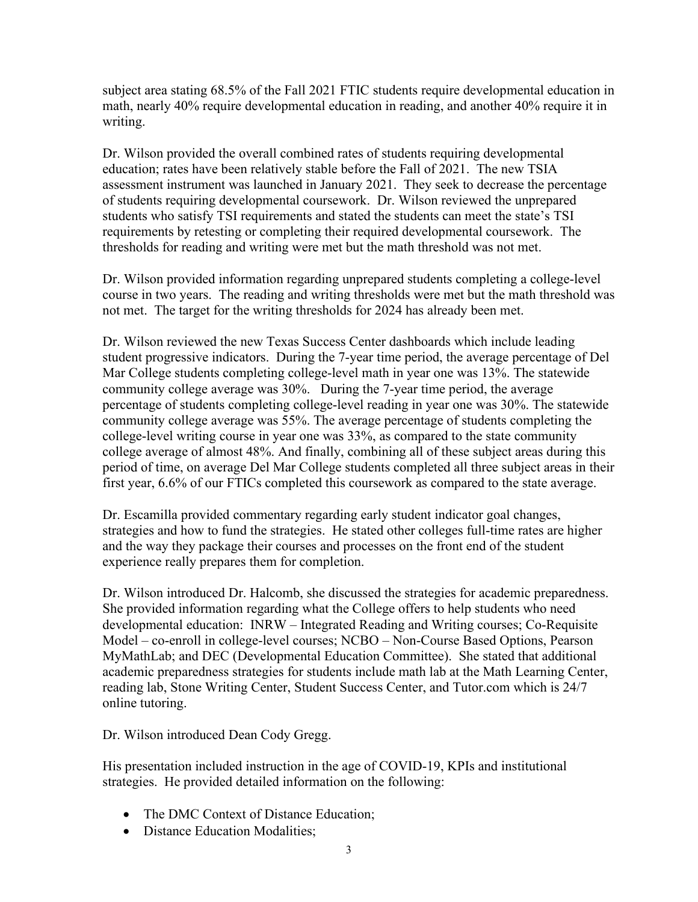subject area stating 68.5% of the Fall 2021 FTIC students require developmental education in math, nearly 40% require developmental education in reading, and another 40% require it in writing.

Dr. Wilson provided the overall combined rates of students requiring developmental education; rates have been relatively stable before the Fall of 2021. The new TSIA assessment instrument was launched in January 2021. They seek to decrease the percentage of students requiring developmental coursework. Dr. Wilson reviewed the unprepared students who satisfy TSI requirements and stated the students can meet the state's TSI requirements by retesting or completing their required developmental coursework. The thresholds for reading and writing were met but the math threshold was not met.

Dr. Wilson provided information regarding unprepared students completing a college-level course in two years. The reading and writing thresholds were met but the math threshold was not met. The target for the writing thresholds for 2024 has already been met.

Dr. Wilson reviewed the new Texas Success Center dashboards which include leading student progressive indicators. During the 7-year time period, the average percentage of Del Mar College students completing college-level math in year one was 13%. The statewide community college average was 30%. During the 7-year time period, the average percentage of students completing college-level reading in year one was 30%. The statewide community college average was 55%. The average percentage of students completing the college-level writing course in year one was 33%, as compared to the state community college average of almost 48%. And finally, combining all of these subject areas during this period of time, on average Del Mar College students completed all three subject areas in their first year, 6.6% of our FTICs completed this coursework as compared to the state average.

Dr. Escamilla provided commentary regarding early student indicator goal changes, strategies and how to fund the strategies. He stated other colleges full-time rates are higher and the way they package their courses and processes on the front end of the student experience really prepares them for completion.

Dr. Wilson introduced Dr. Halcomb, she discussed the strategies for academic preparedness. She provided information regarding what the College offers to help students who need developmental education: INRW – Integrated Reading and Writing courses; Co-Requisite Model – co-enroll in college-level courses; NCBO – Non-Course Based Options, Pearson MyMathLab; and DEC (Developmental Education Committee). She stated that additional academic preparedness strategies for students include math lab at the Math Learning Center, reading lab, Stone Writing Center, Student Success Center, and Tutor.com which is 24/7 online tutoring.

Dr. Wilson introduced Dean Cody Gregg.

His presentation included instruction in the age of COVID-19, KPIs and institutional strategies. He provided detailed information on the following:

- The DMC Context of Distance Education;
- Distance Education Modalities: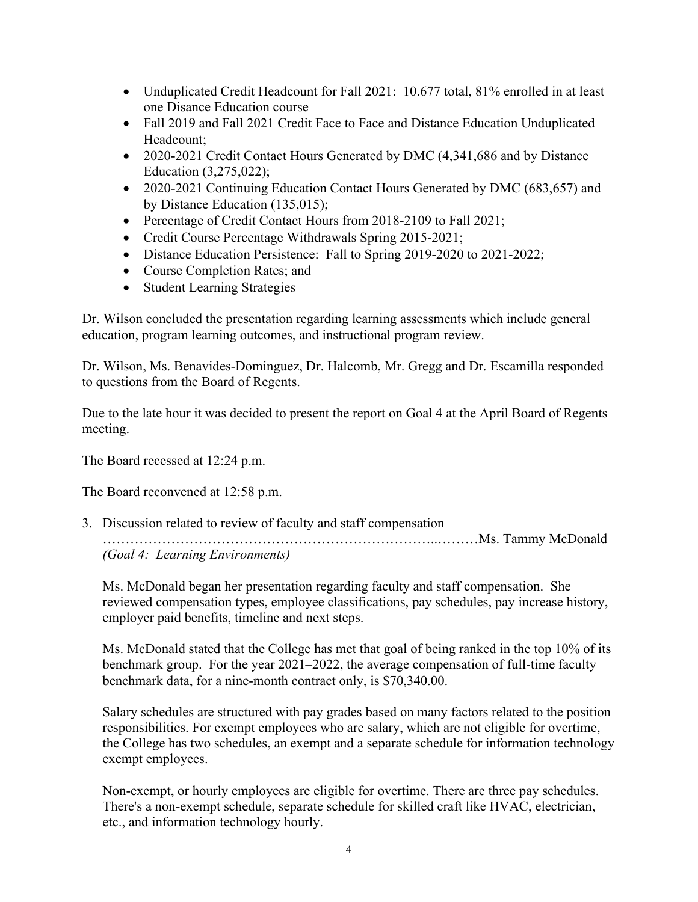- Unduplicated Credit Headcount for Fall 2021: 10.677 total, 81% enrolled in at least one Disance Education course
- Fall 2019 and Fall 2021 Credit Face to Face and Distance Education Unduplicated Headcount;
- 2020-2021 Credit Contact Hours Generated by DMC (4,341,686 and by Distance Education (3,275,022);
- 2020-2021 Continuing Education Contact Hours Generated by DMC (683,657) and by Distance Education (135,015);
- Percentage of Credit Contact Hours from 2018-2109 to Fall 2021;
- Credit Course Percentage Withdrawals Spring 2015-2021;
- Distance Education Persistence: Fall to Spring 2019-2020 to 2021-2022;
- Course Completion Rates: and
- Student Learning Strategies

Dr. Wilson concluded the presentation regarding learning assessments which include general education, program learning outcomes, and instructional program review.

Dr. Wilson, Ms. Benavides-Dominguez, Dr. Halcomb, Mr. Gregg and Dr. Escamilla responded to questions from the Board of Regents.

Due to the late hour it was decided to present the report on Goal 4 at the April Board of Regents meeting.

The Board recessed at 12:24 p.m.

The Board reconvened at 12:58 p.m.

3. Discussion related to review of faculty and staff compensation ………………………………………………………………..………Ms. Tammy McDonald *(Goal 4: Learning Environments)*

Ms. McDonald began her presentation regarding faculty and staff compensation. She reviewed compensation types, employee classifications, pay schedules, pay increase history, employer paid benefits, timeline and next steps.

Ms. McDonald stated that the College has met that goal of being ranked in the top 10% of its benchmark group. For the year 2021–2022, the average compensation of full-time faculty benchmark data, for a nine-month contract only, is \$70,340.00.

Salary schedules are structured with pay grades based on many factors related to the position responsibilities. For exempt employees who are salary, which are not eligible for overtime, the College has two schedules, an exempt and a separate schedule for information technology exempt employees.

Non-exempt, or hourly employees are eligible for overtime. There are three pay schedules. There's a non-exempt schedule, separate schedule for skilled craft like HVAC, electrician, etc., and information technology hourly.